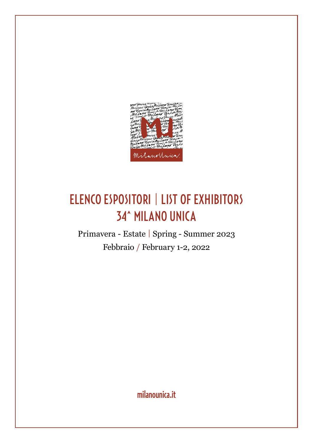

### ELENCO ESPOSITORI | LIST OF EXHIBITORS 34^ MILANO UNICA

Primavera - Estate | Spring - Summer 2023 Febbraio / February 1-2, 2022

[milanounica.it](http://www.milanounica.it)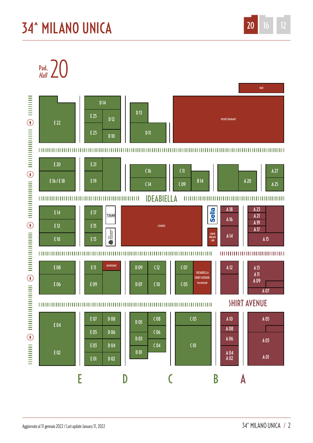# **34^ MILANO UNICA**

Pad.  $\sum$ 

minimum  $\ominus$  minimum  $\ominus$  minimumimum  $\ominus$  minimumimum  $\ominus$  minimumimum

 $\bigodot$ 

 $\begin{array}{c}\n\hline\n\text{H} \\
\hline\n\text{H} \\
\hline\n\end{array}$ 



20  $12$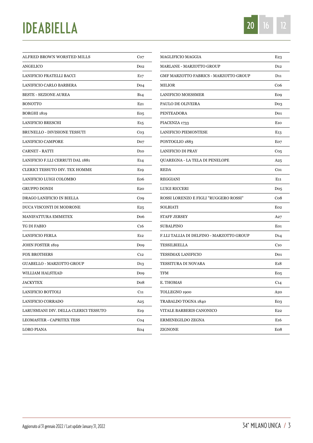# IDEABIELLA



| ALFRED BROWN WORSTED MILLS            | Co <sub>7</sub>  |
|---------------------------------------|------------------|
| <b>ANGELICO</b>                       | D <sub>02</sub>  |
| LANIFICIO FRATELLI BACCI              | E17              |
| LANIFICIO CARLO BARBERA               | Do <sub>4</sub>  |
| <b>BESTE - SEZIONE AUREA</b>          | <b>B</b> 14      |
| <b>BONOTTO</b>                        | $E_{21}$         |
| <b>BORGHI 1819</b>                    | Eo <sub>5</sub>  |
| <b>LANIFICIO BRESCHI</b>              | E15              |
| <b>BRUNELLO - DIVISIONE TESSUTI</b>   | Co <sub>3</sub>  |
| <b>LANIFICIO CAMPORE</b>              | Do <sub>7</sub>  |
| CARNET - RATTI                        | D <sub>10</sub>  |
| LANIFICIO F.LLI CERRUTI DAL 1881      | E14              |
| CLERICI TESSUTO DIV. TEX HOMME        | E19              |
| LANIFICIO LUIGI COLOMBO               | E <sub>06</sub>  |
| <b>GRUPPO DONDI</b>                   | E <sub>20</sub>  |
| DRAGO LANIFICIO IN BIELLA             | Co9              |
| DUCA VISCONTI DI MODRONE              | E <sub>25</sub>  |
| <b>MANIFATTURA EMMETEX</b>            | Do <sub>6</sub>  |
| TG DI FABIO                           | C <sub>16</sub>  |
| LANIFICIO FERLA                       | E <sub>12</sub>  |
| JOHN FOSTER 1819                      | Do9              |
| <b>FOX BROTHERS</b>                   | C <sub>12</sub>  |
| <b>GUABELLO - MARZOTTO GROUP</b>      | D <sub>1</sub> 3 |
| WILLIAM HALSTEAD                      | Do9              |
| <b>JACKYTEX</b>                       | Do <sub>8</sub>  |
| LANIFICIO BOTTOLI                     | $C_{11}$         |
| <b>LANIFICIO CORRADO</b>              | A25              |
| LARUSMIANI DIV. DELLA CLERICI TESSUTO | E <sub>19</sub>  |
| LEOMASTER - CAPRITEX TESS             | Co <sub>4</sub>  |
| LORO PIANA                            | E04              |
|                                       |                  |

| <b>MAGLIFICIO MAGGIA</b>                 | E23              |
|------------------------------------------|------------------|
| MARLANE - MARZOTTO GROUP                 | D12              |
| GMF MARZOTTO FABRICS - MARZOTTO GROUP    | D11              |
| MILIOR                                   | Co6              |
| LANIFICIO MOESSMER                       | Eo9              |
| PAULO DE OLIVEIRA                        | Do <sub>3</sub>  |
| PENTEADORA                               | Do <sub>1</sub>  |
| PIACENZA 1733                            | E <sub>10</sub>  |
| LANIFICIO PIEMONTESE                     | E13              |
| PONTOGLIO 1883                           | Eo7              |
| LANIFICIO DI PRAY                        | Co5              |
| QUAREGNA - LA TELA DI PENELOPE           | A25              |
| <b>REDA</b>                              | Co <sub>1</sub>  |
| <b>REGGIANI</b>                          | E11              |
| LUIGI RICCERI                            | Do5              |
| ROSSI LORENZO E FIGLI "RUGGERO ROSSI"    | Co8              |
| SOLBIATI                                 | Eo <sub>2</sub>  |
| STAFF JERSEY                             | A27              |
| SUBALPINO                                | Eo1              |
| F.LLI TALLIA DI DELFINO - MARZOTTO GROUP | D14              |
| TESSILBIELLA                             | C <sub>10</sub>  |
| TESSIMAX LANIFICIO                       | Do <sub>1</sub>  |
| TESSITURA DI NOVARA                      | E <sub>1</sub> 8 |
| TFM                                      | Eo <sub>5</sub>  |
| E. THOMAS                                | C14              |
| TOLLEGNO 1900                            | A20              |
| TRABALDO TOGNA 1840                      | Eo3              |
| VITALE BARBERIS CANONICO                 | E22              |
| ERMENEGILDO ZEGNA                        | E16              |
| ZIGNONE                                  | Eo8              |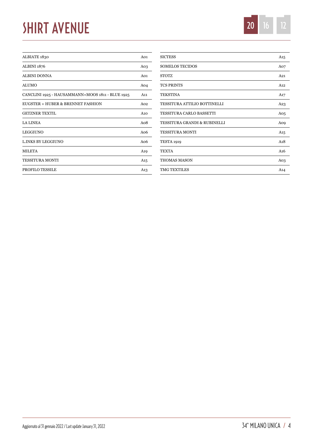# SHIRT AVENUE



| ALBIATE 1830                                     | A <sub>01</sub> |
|--------------------------------------------------|-----------------|
| <b>ALBINI 1876</b>                               | A03             |
| ALBINI DONNA                                     | A01             |
| ALUMO                                            | A04             |
| CANCLINI 1925 - HAUSAMMANN+MOOS 1811 - BLUE 1925 | A11             |
| EUGSTER + HUBER & BRENNET FASHION                | A <sub>02</sub> |
| <b>GETZNER TEXTIL</b>                            | A10             |
| <b>LA LINEA</b>                                  | Ao <sub>8</sub> |
| <b>LEGGIUNO</b>                                  | A <sub>06</sub> |
| L.INKS BY LEGGIUNO                               | A <sub>06</sub> |
| <b>MILETA</b>                                    | A <sub>19</sub> |
| TESSITURA MONTI                                  | A15             |
| <b>PROFILO TESSILE</b>                           | A13             |
|                                                  |                 |

| <b>SICTESS</b>               | A15              |
|------------------------------|------------------|
| <b>SOMELOS TECIDOS</b>       | A07              |
| <b>STOTZ</b>                 | A21              |
| <b>TCS PRINTS</b>            | A12              |
| <b>TEKSTINA</b>              | A17              |
| TESSITURA ATTILIO BOTTINELLI | A23              |
| TESSITURA CARLO BASSETTI     | A <sub>05</sub>  |
| TESSITURA GRANDI & RUBINELLI | A <sub>0</sub>   |
| <b>TESSITURA MONTI</b>       | A15              |
| <b>TESTA 1919</b>            | A18              |
| <b>TEXTA</b>                 | A16              |
| <b>THOMAS MASON</b>          | A <sub>0.3</sub> |
| <b>TMG TEXTILES</b>          | A14              |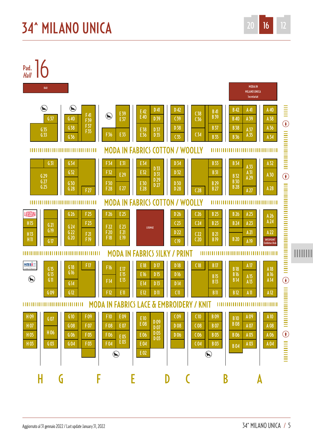

34<sup>\*</sup> MII ANO UNICA / 5

20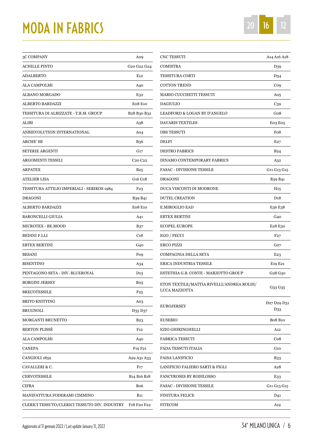# MODA IN FABRICS



| 3C COMPANY                                    | A09                                              |
|-----------------------------------------------|--------------------------------------------------|
| ACHILLE PINTO                                 | G20 G22 G24                                      |
| ADALBERTO                                     | E <sub>12</sub>                                  |
| ALA CAMPOLMI                                  | A40                                              |
| ALBANO MORGADO                                | E32                                              |
| ALBERTO BARDAZZI                              | <b>E08 E10</b>                                   |
| TESSITURA DI ALBIZZATE - T.B.M. GROUP         | B <sub>28</sub> B <sub>30</sub> B <sub>32</sub>  |
| ALIBI                                         | A38                                              |
| ANBIEVOLUTION INTERNATIONAL                   | A04                                              |
| ARCHE' SB                                     | <b>B36</b>                                       |
| <b>SETERIE ARGENTI</b>                        | G17                                              |
| ARGOMENTI TESSILI                             | C <sub>20</sub> C <sub>22</sub>                  |
| ARPATEX                                       | B25                                              |
| ATELIER LISA                                  | G16 G18                                          |
| TESSITURA ATTILIO IMPERIALI - SERIKOS 1984    | F23                                              |
| <b>DRAGONI</b>                                | B <sub>39</sub> B <sub>41</sub>                  |
| ALBERTO BARDAZZI                              | <b>E08 E10</b>                                   |
| <b>BARONCELLI GIULIA</b>                      | A41                                              |
| MICROTEX - BE.MOOD                            | B37                                              |
| BEDINI F.LLI                                  | C <sub>18</sub>                                  |
| <b>EBTEX BERTINI</b>                          | G40                                              |
| <b>BESANI</b>                                 | Fo9                                              |
| <b>BISENTINO</b>                              | A34                                              |
| PENTAGONO SETA - DIV. BLUEROYAL               | D <sub>13</sub>                                  |
| <b>BORGINI JERSEY</b>                         | Bo5                                              |
| <b>BRECOTESSILE</b>                           | F25                                              |
| <b>BRITO KNITTING</b>                         | Ao3                                              |
| <b>BRUGNOLI</b>                               | D35 D37                                          |
| <b>MORGANTI BRUNETTO</b>                      | <b>B23</b>                                       |
| <b>BERTON PLISSE</b>                          | F <sub>12</sub>                                  |
| ALA CAMPOLMI                                  | A40                                              |
| CANEPA                                        | F <sub>19</sub> F <sub>21</sub>                  |
| CANGIOLI 1859                                 | A29 A31 A33                                      |
| CAVALLERI & C.                                | F17                                              |
| CERVOTESSILE                                  | B <sub>14</sub> B <sub>16</sub> B <sub>18</sub>  |
| CIFRA                                         | Bo6                                              |
| MANIFATTURA FODERAMI CIMMINO                  | <b>B</b> 11                                      |
| CLERICI TESSUTO/CLERICI TESSUTO DIV. INDUSTRY | F <sub>1</sub> 8 F <sub>20</sub> F <sub>22</sub> |
|                                               |                                                  |

| CNC TESSUTI                                                | A <sub>14</sub> A <sub>16</sub> A <sub>18</sub>        |
|------------------------------------------------------------|--------------------------------------------------------|
| <b>COMISTRA</b>                                            | D <sub>39</sub>                                        |
| TESSITURA CORTI                                            | D <sub>34</sub>                                        |
| <b>COTTON TREND</b>                                        | Co9                                                    |
| MARIO CUCCHETTI TESSUTI                                    | A05                                                    |
| <b>DAGIULIO</b>                                            | C39                                                    |
| LEADFORD & LOGAN BY D'ANGELO                               | Go8                                                    |
| <b>DAVARIS TEXTILES</b>                                    | Eo3 Eo5                                                |
| <b>DBS TESSUTI</b>                                         | Fo <sub>8</sub>                                        |
| DELFI                                                      | E27                                                    |
| <b>DESTRO FABRICS</b>                                      | <b>B24</b>                                             |
| DINAMO CONTEMPORARY FABRICS                                | A32                                                    |
| <b>FASAC - DIVISIONE TESSILE</b>                           | G11 G13 G15                                            |
| <b>DRAGONI</b>                                             | B <sub>39</sub> B <sub>41</sub>                        |
| DUCA VISCONTI DI MODRONE                                   | H <sub>15</sub>                                        |
| <b>DUTEL CREATION</b>                                      | D <sub>1</sub> 8                                       |
| <b>E.MIROGLIO EAD</b>                                      | E36 E38                                                |
| EBTEX BERTINI                                              | G40                                                    |
| <b>ECOPEL EUROPE</b>                                       | E28 E30                                                |
| EGO / PECCI                                                | F27                                                    |
| ERCO PIZZI                                                 | Go7                                                    |
| COMPAGNIA DELLA SETA                                       | E23                                                    |
| ERICA INDUSTRIA TESSILE                                    | E19 E21                                                |
| ESTETHIA G.B. CONTE - MARZOTTO GROUP                       | G <sub>2</sub> 8 G <sub>30</sub>                       |
| ETON TEXTILE/MATTIA RIVELLI/ANDREA ROLDI/<br>LUCA MAZZOTTA | G33 G35                                                |
| <b>EUROJERSEY</b>                                          | D <sub>27</sub> D <sub>29</sub> D <sub>31</sub><br>D33 |
| <b>EUSEBIO</b>                                             | <b>Bo8 B10</b>                                         |
| EZIO GHIRINGHELLI                                          | A12                                                    |
| FABRICA TESSUTI                                            | Co8                                                    |
| FADA TESSUTI ITALIA                                        | G <sub>10</sub>                                        |
| <b>FAISA LANIFICIO</b>                                     | <b>B33</b>                                             |
| LANIFICIO FALIERO SARTI & FIGLI                            | A28                                                    |
| <b>FANCYROSES BY RODILOSSO</b>                             | E33                                                    |
| <b>FASAC - DIVISIONE TESSILE</b>                           | G11 G13 G15                                            |
| <b>FINITURA FELICE</b>                                     | D41                                                    |
| FITECOM                                                    | A19                                                    |
|                                                            |                                                        |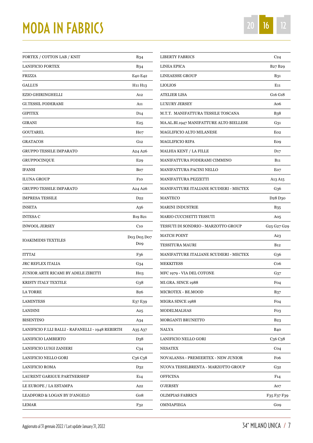## MODA IN FABRICS

| FORTEX / COTTON LAB / KNIT                       | <b>B34</b>                       |
|--------------------------------------------------|----------------------------------|
| <b>LANIFICIO FORTEX</b>                          | <b>B34</b>                       |
| FRIZZA                                           | E40 E42                          |
| <b>GALLUS</b>                                    | H <sub>11</sub> H <sub>13</sub>  |
| <b>EZIO GHIRINGHELLI</b>                         | A12                              |
| <b>GI.TESSIL FODERAMI</b>                        | A11                              |
| <b>GIPITEX</b>                                   | D <sub>14</sub>                  |
| <b>GIRANI</b>                                    | E25                              |
| GOUTAREL                                         | H <sub>o</sub>                   |
| <b>GRATACOS</b>                                  | G <sub>12</sub>                  |
| GRUPPO TESSILE IMPARATO                          | A24 A26                          |
| <b>GRUPPOCINQUE</b>                              | E <sub>29</sub>                  |
| <b>IFANSI</b>                                    | Bo7                              |
| <b>ILUNA GROUP</b>                               | F <sub>10</sub>                  |
| <b>GRUPPO TESSILE IMPARATO</b>                   | A24 A26                          |
| <b>IMPRESA TESSILE</b>                           | D22                              |
| <b>INSETA</b>                                    | A36                              |
| <b>INTESA C</b>                                  | B19 B21                          |
| <b>INWOOL JERSEY</b>                             | C <sub>10</sub>                  |
| <b>IOAKIMIDIS TEXTILES</b>                       | Do3 Do5 Do7<br>Do9               |
| ITTTAI                                           | F36                              |
| JRC REFLEX ITALIA                                | G34                              |
| JUNIOR ARTE RICAMI BY ADELE ZIBETTI              | Ho3                              |
| KRISTY ITALY TEXTILE                             | G38                              |
| <b>LA TORRE</b>                                  | <b>B26</b>                       |
| LAMINTESS                                        | E37 E39                          |
| LANDINI                                          | A25                              |
| <b>BISENTINO</b>                                 | A34                              |
| LANIFICIO F.LLI BALLI - RAFANELLI - 1948 REBIRTH | A35 A37                          |
| LANIFICIO LAMBERTO                               | D <sub>3</sub> 8                 |
| LANIFICIO LUIGI ZANIERI                          | C34                              |
| LANIFICIO NELLO GORI                             | C <sub>36</sub> C <sub>3</sub> 8 |
| LANIFICIO ROMA                                   | D32                              |
| LAURENT GARIGUE PARTNERSHIP                      | E14                              |
| LE EUROPE / LA ESTAMPA                           | A22                              |
| LEADFORD & LOGAN BY D'ANGELO                     | Go8                              |
| LEMAR                                            | F32                              |
|                                                  |                                  |

| <b>LIBERTY FABRICS</b>                  | C <sub>24</sub>                                 |
|-----------------------------------------|-------------------------------------------------|
| <b>LINEA EPICA</b>                      | B <sub>27</sub> B <sub>29</sub>                 |
| <b>LINEAESSE GROUP</b>                  | <b>B31</b>                                      |
| <b>LIOLIOS</b>                          | E <sub>11</sub>                                 |
| ATELIER LISA                            | G <sub>16</sub> G <sub>18</sub>                 |
| <b>LUXURY JERSEY</b>                    | A06                                             |
| M.T.T. MANIFATTURA TESSILE TOSCANA      | <b>B38</b>                                      |
| MA.AL.BI.1947 MANIFATTURE ALTO BIELLESE | G31                                             |
| <b>MAGLIFICIO ALTO MILANESE</b>         | Eo2                                             |
| MAGLIFICIO RIPA                         | Eo9                                             |
| MALHIA KENT / LA FILLE                  | D17                                             |
| MANIFATTURA FODERAMI CIMMINO            | <b>B</b> 11                                     |
| MANIFATTURA PACINI NELLO                | Eo7                                             |
| <b>MANIFATTURA PEZZETTI</b>             | A13 A15                                         |
| MANIFATTURE ITALIANE SCUDIERI - MECTEX  | G36                                             |
| <b>MANTECO</b>                          | D <sub>2</sub> 8 D <sub>3</sub> 0               |
| <b>MARINI INDUSTRIE</b>                 | <b>B35</b>                                      |
| <b>MARIO CUCCHETTI TESSUTI</b>          | A05                                             |
| TESSUTI DI SONDRIO - MARZOTTO GROUP     | G25 G27 G29                                     |
| <b>MATCH POINT</b>                      | A23                                             |
| TESSITURA MAURI                         | <b>B</b> 12                                     |
| MANIFATTURE ITALIANE SCUDIERI - MECTEX  | G36                                             |
| <b>MEKKITESS</b>                        | Co6                                             |
| MFC 1979 - VIA DEL COTONE               | G37                                             |
| MI.GRA. SINCE 1988                      | Fo <sub>4</sub>                                 |
| MICROTEX - BE.MOOD                      | <b>B37</b>                                      |
| MIGRA SINCE 1988                        | Fo <sub>4</sub>                                 |
| <b>MODELMALHAS</b>                      | Fo <sub>3</sub>                                 |
| <b>MORGANTI BRUNETTO</b>                | <b>B23</b>                                      |
| NALYA                                   | <b>B40</b>                                      |
| LANIFICIO NELLO GORI                    | C <sub>3</sub> 6 C <sub>3</sub> 8               |
| <b>NESATEX</b>                          | Co4                                             |
| NOVALANSA - PREMIERTEX - NEW JUNIOR     | Fo6                                             |
| NUOVA TESSILBRENTA - MARZOTTO GROUP     | G32                                             |
| <b>OFFICINA</b>                         | F14                                             |
| O'JERSEY                                | A07                                             |
| <b>OLIMPIAS FABRICS</b>                 | F <sub>35</sub> F <sub>37</sub> F <sub>39</sub> |
| OMNIAPIEGA                              | Go9                                             |
|                                         |                                                 |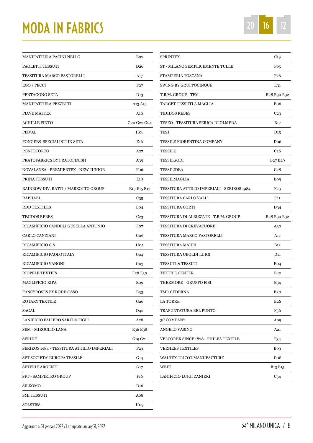### MODA IN FABRICS

| MANIFATTURA PACINI NELLO                   | Eo7                                             |
|--------------------------------------------|-------------------------------------------------|
| PAOLETTI TESSUTI                           | D <sub>26</sub>                                 |
| TESSITURA MARCO PASTORELLI                 | A17                                             |
| EGO / PECCI                                | F27                                             |
| PENTAGONO SETA                             | D <sub>13</sub>                                 |
| MANIFATTURA PEZZETTI                       | A13 A15                                         |
| PIAVE MAITEX                               | A10                                             |
| ACHILLE PINTO                              | G <sub>20</sub> G <sub>22</sub> G <sub>24</sub> |
| PIZVAL                                     | H <sub>06</sub>                                 |
| PONGEES SPECIALISTI IN SETA                | E <sub>16</sub>                                 |
| PONTETORTO                                 | A27                                             |
| PRATOFABRICS BY PRATOFINISH                | A39                                             |
| NOVALANSA - PREMIERTEX - NEW JUNIOR        | Fo6                                             |
| PRINA TESSUTI                              | E <sub>1</sub> 8                                |
| RAINBOW DIV. RATTI / MARZOTTO GROUP        | E <sub>13</sub> E <sub>15</sub> E <sub>17</sub> |
| RAPHAEL                                    | C35                                             |
| RDD TEXTILES                               | Bo <sub>4</sub>                                 |
| TEJIDOS REBES                              | C23                                             |
| RICAMIFICIO CANDELI GUSELLA ANTONIO        | Fo7                                             |
| CARLO CANZIANI                             | Go6                                             |
| RICAMIFICIO G.S.                           | Ho <sub>5</sub>                                 |
| RICAMIFICIO PAOLO ITALY                    | Go4                                             |
| RICAMIFICIO VANONI                         | Go3                                             |
| <b>RIOPELE TEXTEIS</b>                     | F <sub>28</sub> F <sub>30</sub>                 |
| MAGLIFICIO RIPA                            | Eo9                                             |
| FANCYROSES BY RODILOSSO                    | E33                                             |
| ROTARY TEXTILE                             | G26                                             |
| SAGAL                                      | D <sub>42</sub>                                 |
| LANIFICIO FALIERO SARTI & FIGLI            | A28                                             |
| SEM - MIROGLIO LANA                        | E <sub>36</sub> E <sub>38</sub>                 |
| SERIDE                                     | G19 G21                                         |
| SERIKOS 1984 - TESSITURA ATTILIO IMPERIALI | F <sub>2</sub> 3                                |
| SET SOCIETA' EUROPA TESSILE                | G14                                             |
| SETERIE ARGENTI                            | G17                                             |
| SFT - SAMPIETRO GROUP                      | F <sub>16</sub>                                 |
| SILKOMO                                    | D <sub>16</sub>                                 |
| SMI TESSUTI                                | Ao8                                             |
| SOLSTISS                                   | H <sub>o</sub>                                  |
|                                            |                                                 |

| SPRINTEX                                   | C <sub>19</sub>                 |
|--------------------------------------------|---------------------------------|
| ST - MILANO SEMPLICEMENTE TULLE            | Fo5                             |
| STAMPERIA TOSCANA                          | F <sub>26</sub>                 |
| SWING BY GRUPPOCINQUE                      | E31                             |
| T.B.M. GROUP - TFM                         | B28 B30 B32                     |
| TARGET TESSUTI A MAGLIA                    | Eo <sub>6</sub>                 |
| <b>TEJIDOS REBES</b>                       | C <sub>23</sub>                 |
| TESEO - TESSITURA SERICA DI OLMEDA         | <b>B</b> 17                     |
| TESJ                                       | $D_{15}$                        |
| TESSILE FIORENTINA COMPANY                 | Do6                             |
| TESSILE                                    | C <sub>26</sub>                 |
| TESSILGODI                                 | B <sub>27</sub> B <sub>29</sub> |
| <b>TESSILIDEA</b>                          | C <sub>28</sub>                 |
| TESSILMAGLIA                               | Bo9                             |
| TESSITURA ATTILIO IMPERIALI - SERIKOS 1984 | F23                             |
| TESSITURA CARLO VALLI                      | $C_{11}$                        |
| TESSITURA CORTI                            | D <sub>34</sub>                 |
| TESSITURA DI ALBIZZATE - T.B.M. GROUP      | B28 B30 B32                     |
| TESSITURA DI CREVACUORE                    | A30                             |
| TESSITURA MARCO PASTORELLI                 | A17                             |
| TESSITURA MAURI                            | <b>B</b> <sub>12</sub>          |
| TESSITURA UBOLDI LUIGI                     | D <sub>11</sub>                 |
| TESSUTI & TESSUTI                          | Eo <sub>4</sub>                 |
| TEXTILE CENTER                             | <b>B42</b>                      |
| THERMORE - GRUPPO FISI                     | E34                             |
| TMR CEDERNA                                | B <sub>20</sub>                 |
| LA TORRE                                   | <b>B26</b>                      |
| TRAPUNTATURA BEL PUNTO                     | F <sub>36</sub>                 |
| 3C COMPANY                                 | A09                             |
| ANGELO VASINO                              | A21                             |
| VELCOREX SINCE 1828 - PHILEA TEXTILE       | F34                             |
| VERHEES TEXTILES                           | Bo <sub>3</sub>                 |
| WALTEX TRICOT MANUFACTURE                  | Do8                             |
| WEFT                                       | B <sub>13</sub> B <sub>15</sub> |
| LANIFICIO LUIGI ZANIERI                    | C34                             |
|                                            |                                 |

20 16 12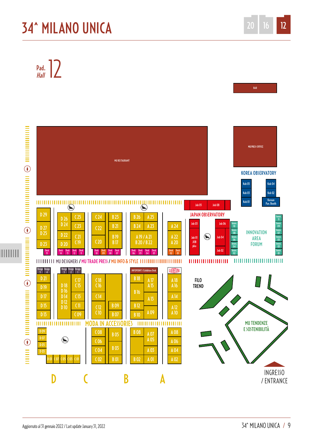### **34^ MILANO UNICA**

Pad.  $\frac{1}{\frac{1}{2}}$ 



 $12$ 

20

BAR

16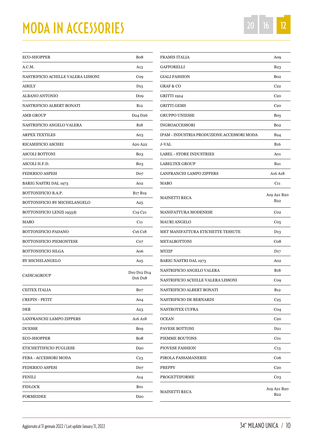### MODA IN ACCESSORIES 20 16 20 16

| <b>ECO-SHOPPER</b>                 | Bo <sub>8</sub>                                                                    |
|------------------------------------|------------------------------------------------------------------------------------|
| A.C.M.                             | A13                                                                                |
| NASTRIFICIO ACHILLE VALERA LISSONI | Co9                                                                                |
| <b>AIRILY</b>                      | $D_{15}$                                                                           |
| ALBANO ANTONIO                     | Do9                                                                                |
| NASTRIFICIO ALBERT BONATI          | <b>B</b> 12                                                                        |
| <b>AMB GROUP</b>                   | D <sub>24</sub> D <sub>26</sub>                                                    |
| NASTRIFICIO ANGELO VALERA          | <b>B</b> <sub>1</sub> 8                                                            |
| <b>ARPEX TEXTILES</b>              | Ao3                                                                                |
| RICAMIFICIO ASCHEI                 | A <sub>20</sub> A <sub>22</sub>                                                    |
| <b>ASCOLI BOTTONI</b>              | Bo3                                                                                |
| ASCOLI H.F.D.                      | Bo3                                                                                |
| <b>FEDERICO ASPESI</b>             | Do7                                                                                |
| <b>BARIG NASTRI DAL 1973</b>       | Ao <sub>2</sub>                                                                    |
| BOTTONIFICIO B.A.P.                | <b>B17 B19</b>                                                                     |
| BOTTONIFICIO BY MICHELANGELO       | A25                                                                                |
| <b>BOTTONIFICIO LENZI 1955®</b>    | C <sub>19</sub> C <sub>21</sub>                                                    |
| <b>MABO</b>                        | $C_{11}$                                                                           |
| BOTTONIFICIO PADANO                | C <sub>16</sub> C <sub>18</sub>                                                    |
| <b>BOTTONIFICIO PIEMONTESE</b>     | Co7                                                                                |
| <b>BOTTONIFICIO SILGA</b>          | A06                                                                                |
| <b>BY MICHELANGELO</b>             | A25                                                                                |
| <b>CADICAGROUP</b>                 | D <sub>10</sub> D <sub>12</sub> D <sub>14</sub><br>D <sub>16</sub> D <sub>18</sub> |
| <b>CEITEX ITALIA</b>               | Bo7                                                                                |
| <b>CREPIN - PETIT</b>              | A04                                                                                |
| DEB                                | A23                                                                                |
| LANFRANCHI LAMPO ZIPPERS           | A <sub>16</sub> A <sub>18</sub>                                                    |
| <b>DUESSE</b>                      | Bo9                                                                                |
| <b>ECO-SHOPPER</b>                 | Bo <sub>8</sub>                                                                    |
| ETICHETTIFICIO PUGLIESE            | D20                                                                                |
| FEBA - ACCESSORI MODA              | C <sub>23</sub>                                                                    |
| <b>FEDERICO ASPESI</b>             | Do7                                                                                |
| FENILI                             | A14                                                                                |
| <b>FIDLOCK</b>                     | Bo1                                                                                |
| <b>FORMEIDEE</b>                   | D20                                                                                |

| FRAMIS ITALIA                              | Ao9                            |
|--------------------------------------------|--------------------------------|
| GAFFORELLI                                 | B23                            |
| GIALI FASHION                              | Bo <sub>2</sub>                |
| <b>GRAF &amp; CO</b>                       | C22                            |
| GRITTI 1924                                | C <sub>20</sub>                |
| GRITTI GEMS                                | C <sub>20</sub>                |
| GRUPPO UNIESSE                             | Bo <sub>5</sub>                |
| INGROACCESSORI                             | Bo <sub>2</sub>                |
| IPAM - INDUSTRIA PRODUZIONE ACCESSORI MODA | B24                            |
| J-VAL                                      | <b>B</b> 16                    |
| LABEL - STORE INDUSTRIES                   | A01                            |
| <b>LABELTEX GROUP</b>                      | <b>B21</b>                     |
| LANFRANCHI LAMPO ZIPPERS                   | A16 A18                        |
| MABO                                       | C11                            |
| MAINETTI RECA                              | A19 A21 B20<br>B <sub>22</sub> |
| MANIFATTURA MODENESE                       | Co <sub>2</sub>                |
| MAURI ANGELO                               | Co5                            |
| MET MANIFATTURA ETICHETTE TESSUTE          | D13                            |
| METALBOTTONI                               | $\cos$                         |
| MYZIP                                      | D <sub>17</sub>                |
| <b>BARIG NASTRI DAL 1973</b>               | A02                            |
| NASTRIFICIO ANGELO VALERA                  | <b>B</b> <sub>1</sub> 8        |
| NASTRIFICIO ACHILLE VALERA LISSONI         | Co <sub>9</sub>                |
| NASTRIFICIO ALBERT BONATI                  | <b>B</b> 12                    |
| NASTRIFICIO DE BERNARDI                    | C25                            |
| NASTROTEX CUFRA                            | Co <sub>4</sub>                |
| OCEAN                                      | C <sub>20</sub>                |
| PAVESE BOTTONI                             | D21                            |
| PIEMME BOUTONS                             | Co1                            |
| PIOVESE FASHION                            | C13                            |
| PIROLA PASSAMANERIE                        | Co <sub>6</sub>                |
| PREPPY                                     | C <sub>2</sub> o               |
| PROGETTIFORME                              | Co3                            |
| MAINETTI RECA                              | A19 A21 B20<br>B22             |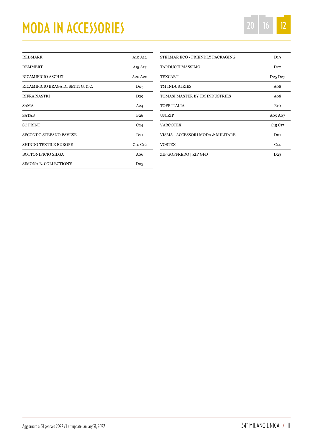# MODA IN ACCESSORIES 20 16 20 16

| <b>REDMARK</b>                     | A <sub>10</sub> A <sub>12</sub> |
|------------------------------------|---------------------------------|
| <b>REMMERT</b>                     | A <sub>15</sub> A <sub>17</sub> |
| RICAMIFICIO ASCHEI                 | A <sub>20</sub> A <sub>22</sub> |
| RICAMIFICIO BRAGA DI SETTI G. & C. | Do <sub>5</sub>                 |
| RIFRA NASTRI                       | D <sub>29</sub>                 |
| <b>SAMA</b>                        | A24                             |
| <b>SATAB</b>                       | <b>B26</b>                      |
| <b>SC PRINT</b>                    | C <sub>24</sub>                 |
| <b>SECONDO STEFANO PAVESE</b>      | D21                             |
| <b>SHINDO TEXTILE EUROPE</b>       | C <sub>10</sub> C <sub>12</sub> |
| <b>BOTTONIFICIO SILGA</b>          | Ao6                             |
| SIMONA B. COLLECTION'S             | Do <sub>3</sub>                 |

| STELMAR ECO - FRIENDLY PACKAGING  | D <sub>19</sub>                 |
|-----------------------------------|---------------------------------|
| <b>TARDUCCI MASSIMO</b>           | D22                             |
| <b>TEXCART</b>                    | D <sub>25</sub> D <sub>27</sub> |
| <b>TM INDUSTRIES</b>              | A <sub>0</sub> 8                |
| TOMASI MASTER BY TM INDUSTRIES    | Ao8                             |
| TOPP ITALIA                       | B10                             |
| <b>UNIZIP</b>                     | A05 A07                         |
| VARCOTEX                          | $C_{15}C_{17}$                  |
| VISMA - ACCESSORI MODA & MILITARE | Do <sub>1</sub>                 |
| <b>VOSTEX</b>                     | C <sub>14</sub>                 |
| ZIP GOFFREDO   ZIP GFD            | D <sub>23</sub>                 |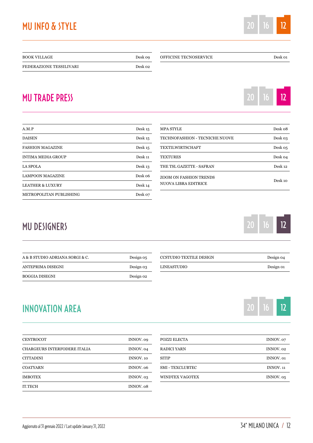#### MU INFO & STYLE

| <b>BOOK VILLAGE</b>     | Desk 09 |
|-------------------------|---------|
| FEDERAZIONE TESSILIVARI | Desk 02 |

#### MU TRADE PRESS

| A.M.P                       | Desk <sub>15</sub> |
|-----------------------------|--------------------|
| <b>DAISEN</b>               | Desk 15            |
| <b>FASHION MAGAZINE</b>     | Desk <sub>15</sub> |
| <b>INTIMA MEDIA GROUP</b>   | Desk <sub>11</sub> |
| <b>LA SPOLA</b>             | Desk <sub>13</sub> |
| <b>LAMPOON MAGAZINE</b>     | Desk 06            |
| <b>LEATHER &amp; LUXURY</b> | Desk 14            |
| METROPOLITAN PUBLISHING     | Desk 07            |

| <b>MPA STYLE</b>                               | Desk 08            |
|------------------------------------------------|--------------------|
| <b>TECHNOFASHION - TECNICHE NUOVE</b>          | Desk 03            |
| <b>TEXTILWIRTSCHAFT</b>                        | Desk 05            |
| <b>TEXTURES</b>                                | Desk 04            |
| THE TSL GAZETTE - SAFRAN                       | Desk <sub>12</sub> |
| ZOOM ON FASHION TRENDS<br>NUOVA LIBRA EDITRICE | Desk 10            |

OFFICINE TECNOSERVICE Desk 01

#### MU DESIGNERS

| A & B STUDIO ADRIANA SORGI & C. | Design 05 |
|---------------------------------|-----------|
| ANTEPRIMA DISEGNI               | Design 03 |
| <b>BOGGIA DISEGNI</b>           | Design 02 |

#### INNOVATION AREA

| <b>CENTROCOT</b>                    | INNOV. 09        |
|-------------------------------------|------------------|
| <b>CHARGEURS INTERFODERE ITALIA</b> | INNOV. 04        |
| <b>CITTADINI</b>                    | <b>INNOV.</b> 10 |
| <b>COATYARN</b>                     | INNOV. 06        |
| <b>IMBOTEX</b>                      | INNOV. 03        |
| <b>IT.TECH</b>                      | INNOV. 08        |

| POZZI ELECTA       | INNOV. 07            |
|--------------------|----------------------|
| <b>RADICI YARN</b> | INNOV. 02            |
| SITIP              | INNOV. 01            |
| SMI - TEXCLUBTEC   | INNOV. <sub>11</sub> |
| WINDTEX VAGOTEX    | INNOV. 05            |
|                    |                      |

LINEASTUDIO Design 01